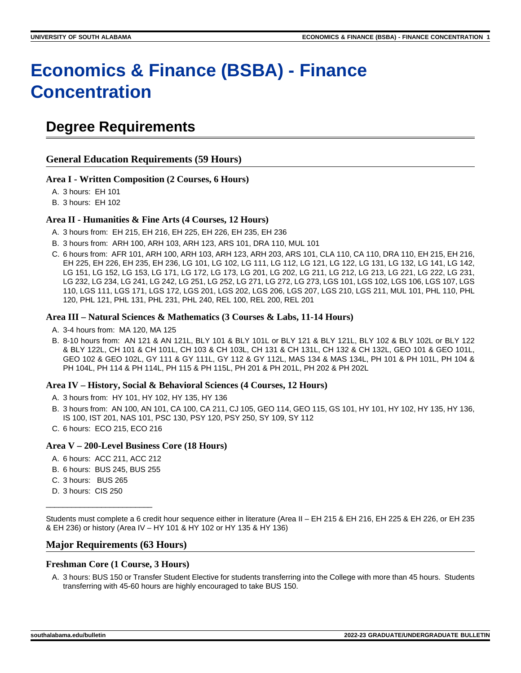# **Economics & Finance (BSBA) - Finance Concentration**

### **Degree Requirements**

**General Education Requirements (59 Hours)**

#### **Area I - Written Composition (2 Courses, 6 Hours)**

A. 3 hours: EH 101

B. 3 hours: EH 102

#### **Area II - Humanities & Fine Arts (4 Courses, 12 Hours)**

- A. 3 hours from: EH 215, EH 216, EH 225, EH 226, EH 235, EH 236
- B. 3 hours from: ARH 100, ARH 103, ARH 123, ARS 101, DRA 110, MUL 101
- C. 6 hours from: AFR 101, ARH 100, ARH 103, ARH 123, ARH 203, ARS 101, CLA 110, CA 110, DRA 110, EH 215, EH 216, EH 225, EH 226, EH 235, EH 236, LG 101, LG 102, LG 111, LG 112, LG 121, LG 122, LG 131, LG 132, LG 141, LG 142, LG 151, LG 152, LG 153, LG 171, LG 172, LG 173, LG 201, LG 202, LG 211, LG 212, LG 213, LG 221, LG 222, LG 231, LG 232, LG 234, LG 241, LG 242, LG 251, LG 252, LG 271, LG 272, LG 273, LGS 101, LGS 102, LGS 106, LGS 107, LGS 110, LGS 111, LGS 171, LGS 172, LGS 201, LGS 202, LGS 206, LGS 207, LGS 210, LGS 211, MUL 101, PHL 110, PHL 120, PHL 121, PHL 131, PHL 231, PHL 240, REL 100, REL 200, REL 201

#### **Area III – Natural Sciences & Mathematics (3 Courses & Labs, 11-14 Hours)**

- A. 3-4 hours from: MA 120, MA 125
- B. 8-10 hours from: AN 121 & AN 121L, BLY 101 & BLY 101L or BLY 121 & BLY 121L, BLY 102 & BLY 102L or BLY 122 & BLY 122L, CH 101 & CH 101L, CH 103 & CH 103L, CH 131 & CH 131L, CH 132 & CH 132L, GEO 101 & GEO 101L, GEO 102 & GEO 102L, GY 111 & GY 111L, GY 112 & GY 112L, MAS 134 & MAS 134L, PH 101 & PH 101L, PH 104 & PH 104L, PH 114 & PH 114L, PH 115 & PH 115L, PH 201 & PH 201L, PH 202 & PH 202L

#### **Area IV – History, Social & Behavioral Sciences (4 Courses, 12 Hours)**

- A. 3 hours from: HY 101, HY 102, HY 135, HY 136
- B. 3 hours from: AN 100, AN 101, CA 100, CA 211, CJ 105, GEO 114, GEO 115, GS 101, HY 101, HY 102, HY 135, HY 136, IS 100, IST 201, NAS 101, PSC 130, PSY 120, PSY 250, SY 109, SY 112
- C. 6 hours: ECO 215, ECO 216

#### **Area V – 200-Level Business Core (18 Hours)**

- A. 6 hours: ACC 211, ACC 212
- B. 6 hours: BUS 245, BUS 255
- C. 3 hours: BUS 265
- D. 3 hours: CIS 250

\_\_\_\_\_\_\_\_\_\_\_\_\_\_\_\_\_\_\_\_\_\_\_\_\_

Students must complete a 6 credit hour sequence either in literature (Area II – EH 215 & EH 216, EH 225 & EH 226, or EH 235 & EH 236) or history (Area IV – HY 101 & HY 102 or HY 135 & HY 136)

#### **Major Requirements (63 Hours)**

#### **Freshman Core (1 Course, 3 Hours)**

A. 3 hours: BUS 150 or Transfer Student Elective for students transferring into the College with more than 45 hours. Students transferring with 45-60 hours are highly encouraged to take BUS 150.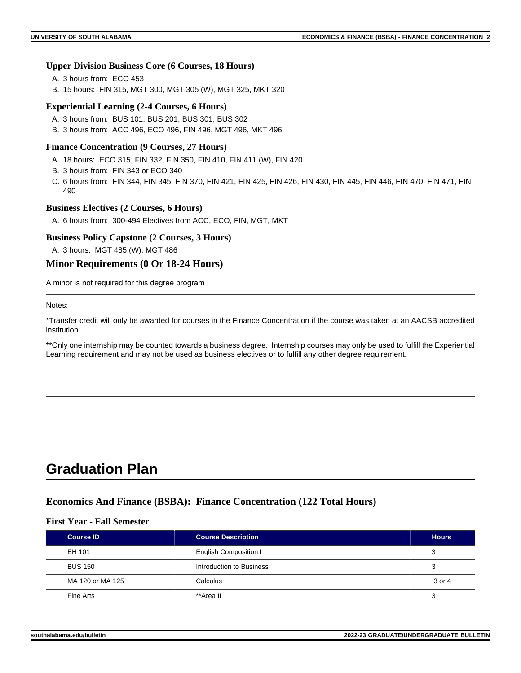#### **Upper Division Business Core (6 Courses, 18 Hours)**

- A. 3 hours from: ECO 453
- B. 15 hours: FIN 315, MGT 300, MGT 305 (W), MGT 325, MKT 320

#### **Experiential Learning (2-4 Courses, 6 Hours)**

- A. 3 hours from: BUS 101, BUS 201, BUS 301, BUS 302
- B. 3 hours from: ACC 496, ECO 496, FIN 496, MGT 496, MKT 496

#### **Finance Concentration (9 Courses, 27 Hours)**

- A. 18 hours: ECO 315, FIN 332, FIN 350, FIN 410, FIN 411 (W), FIN 420
- B. 3 hours from: FIN 343 or ECO 340
- C. 6 hours from: FIN 344, FIN 345, FIN 370, FIN 421, FIN 425, FIN 426, FIN 430, FIN 445, FIN 446, FIN 470, FIN 471, FIN 490

#### **Business Electives (2 Courses, 6 Hours)**

A. 6 hours from: 300-494 Electives from ACC, ECO, FIN, MGT, MKT

#### **Business Policy Capstone (2 Courses, 3 Hours)**

A. 3 hours: MGT 485 (W), MGT 486

#### **Minor Requirements (0 Or 18-24 Hours)**

A minor is not required for this degree program

Notes:

\*Transfer credit will only be awarded for courses in the Finance Concentration if the course was taken at an AACSB accredited institution.

\*\*Only one internship may be counted towards a business degree. Internship courses may only be used to fulfill the Experiential Learning requirement and may not be used as business electives or to fulfill any other degree requirement.

### **Graduation Plan**

#### **Economics And Finance (BSBA): Finance Concentration (122 Total Hours)**

#### **First Year - Fall Semester**

| <b>Course ID</b> | <b>Course Description</b>    | <b>Hours</b> |
|------------------|------------------------------|--------------|
| EH 101           | <b>English Composition I</b> | 3            |
| <b>BUS 150</b>   | Introduction to Business     | 3            |
| MA 120 or MA 125 | Calculus                     | 3 or 4       |
| Fine Arts        | **Area II                    | 3            |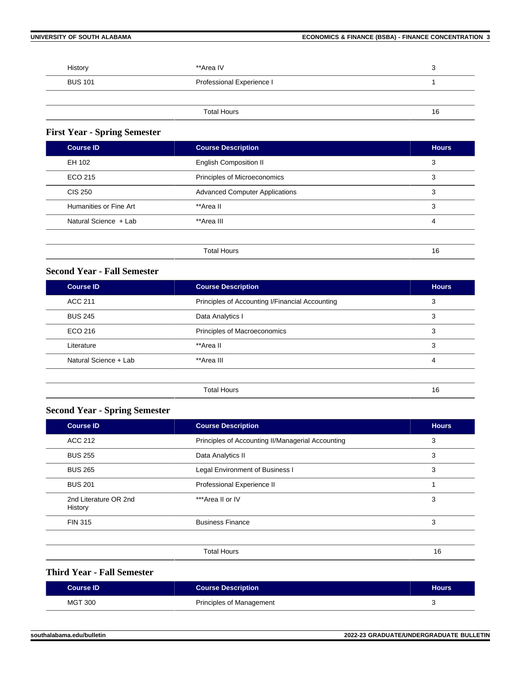| History        | **Area IV                 | د، |
|----------------|---------------------------|----|
| <b>BUS 101</b> | Professional Experience I |    |
|                |                           |    |
|                | <b>Total Hours</b>        | 16 |

### **First Year - Spring Semester**

| <b>Course ID</b>       | <b>Course Description</b>             | <b>Hours</b> |
|------------------------|---------------------------------------|--------------|
| EH 102                 | <b>English Composition II</b>         | 3            |
| ECO 215                | Principles of Microeconomics          | 3            |
| <b>CIS 250</b>         | <b>Advanced Computer Applications</b> | 3            |
| Humanities or Fine Art | **Area II                             | 3            |
| Natural Science + Lab  | **Area III                            | 4            |
|                        |                                       |              |
|                        | <b>Total Hours</b>                    | 16           |

#### **Second Year - Fall Semester**

| <b>Course ID</b>      | <b>Course Description</b>                       |    |
|-----------------------|-------------------------------------------------|----|
| <b>ACC 211</b>        | Principles of Accounting I/Financial Accounting | 3  |
| <b>BUS 245</b>        | Data Analytics I                                |    |
| ECO 216               | Principles of Macroeconomics                    | 3  |
| Literature            | **Area II                                       |    |
| Natural Science + Lab | **Area III                                      |    |
|                       |                                                 |    |
|                       | <b>Total Hours</b>                              | 16 |

#### **Second Year - Spring Semester**

| <b>Course ID</b>                 | <b>Course Description</b>                         | <b>Hours</b> |
|----------------------------------|---------------------------------------------------|--------------|
| ACC 212                          | Principles of Accounting II/Managerial Accounting | 3            |
| <b>BUS 255</b>                   | Data Analytics II                                 | 3            |
| <b>BUS 265</b>                   | Legal Environment of Business I                   | 3            |
| <b>BUS 201</b>                   | Professional Experience II                        |              |
| 2nd Literature OR 2nd<br>History | ***Area II or IV                                  | 3            |
| <b>FIN 315</b>                   | <b>Business Finance</b>                           | 3            |
|                                  |                                                   |              |
|                                  | <b>Total Hours</b>                                | 16           |

#### **Third Year - Fall Semester**

| Course <b>ID</b> | <b>Course Description</b> | <b>Hours</b> |
|------------------|---------------------------|--------------|
| <b>MGT 300</b>   | Principles of Management  |              |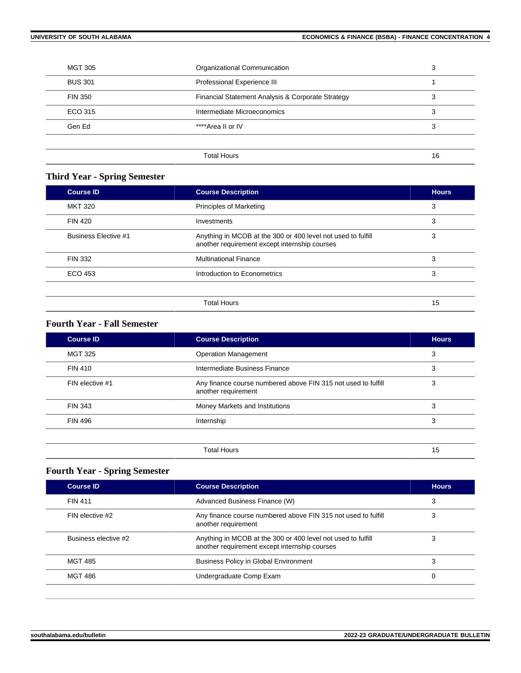| <b>MGT 305</b> | Organizational Communication                      | 3  |
|----------------|---------------------------------------------------|----|
| <b>BUS 301</b> | Professional Experience III                       |    |
| <b>FIN 350</b> | Financial Statement Analysis & Corporate Strategy | 3  |
| ECO 315        | Intermediate Microeconomics                       | 3  |
| Gen Ed         | ****Area II or IV                                 | 3  |
|                |                                                   |    |
|                | <b>Total Hours</b>                                | 16 |
|                |                                                   |    |

### **Third Year - Spring Semester**

| <b>Course ID</b>            | <b>Course Description</b>                                                                                     | <b>Hours</b> |
|-----------------------------|---------------------------------------------------------------------------------------------------------------|--------------|
| <b>MKT 320</b>              | <b>Principles of Marketing</b>                                                                                | 3            |
| <b>FIN 420</b>              | Investments                                                                                                   | 3            |
| <b>Business Elective #1</b> | Anything in MCOB at the 300 or 400 level not used to fulfill<br>another requirement except internship courses | 3            |
| FIN 332                     | <b>Multinational Finance</b>                                                                                  | 3            |
| ECO 453                     | Introduction to Econometrics                                                                                  | 3            |
|                             |                                                                                                               |              |
|                             | <b>Total Hours</b>                                                                                            | 15           |

#### **Fourth Year - Fall Semester**

| <b>Course ID</b> | <b>Course Description</b>                                                            | <b>Hours</b> |
|------------------|--------------------------------------------------------------------------------------|--------------|
| <b>MGT 325</b>   | <b>Operation Management</b>                                                          | 3            |
| <b>FIN 410</b>   | Intermediate Business Finance                                                        | 3            |
| FIN elective #1  | Any finance course numbered above FIN 315 not used to fulfill<br>another requirement | 3            |
| <b>FIN 343</b>   | Money Markets and Institutions                                                       | 3            |
| <b>FIN 496</b>   | Internship                                                                           | 3            |
|                  |                                                                                      |              |
|                  | <b>Total Hours</b>                                                                   | 15           |

### **Fourth Year - Spring Semester**

| <b>Course ID</b>     | <b>Course Description</b>                                                                                     | <b>Hours</b> |
|----------------------|---------------------------------------------------------------------------------------------------------------|--------------|
| <b>FIN 411</b>       | Advanced Business Finance (W)                                                                                 | 3            |
| FIN elective #2      | Any finance course numbered above FIN 315 not used to fulfill<br>another requirement                          | 3            |
| Business elective #2 | Anything in MCOB at the 300 or 400 level not used to fulfill<br>another requirement except internship courses |              |
| <b>MGT 485</b>       | <b>Business Policy in Global Environment</b>                                                                  |              |
| MGT 486              | Undergraduate Comp Exam                                                                                       | 0            |
|                      |                                                                                                               |              |